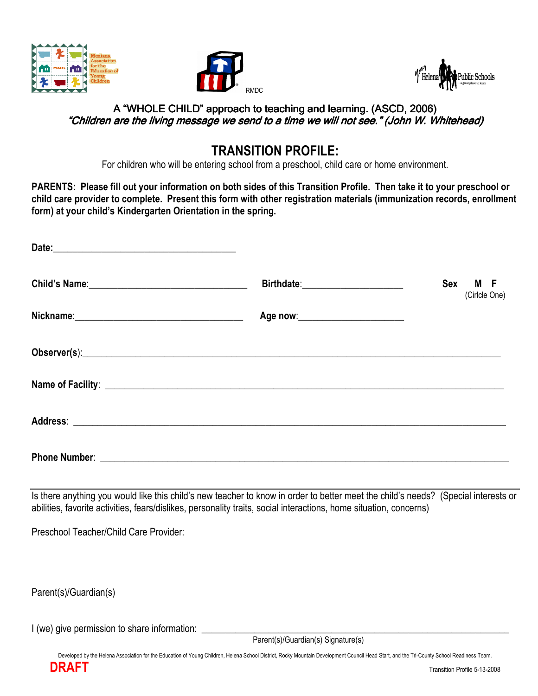





## A "WHOLE CHILD" approach to teaching and learning. (ASCD, 2006) 2006) "Children are the living message we send to a time we will not see." (John W. Whitehead)

## TRANSITION PROFILE:

For children who will be entering school from a preschool, child care or home environment.

PARENTS: Please fill out your information on both sides of this Transition Profile. Then take it to your preschool or child care provider to complete. Present this form with other registration materials (immunization records, enrollment form) at your child's Kindergarten Orientation in the spring.

|                                                                                                                                                                                                                                      | Birthdate:______________________     | Sex M F<br>(Cirlcle One) |
|--------------------------------------------------------------------------------------------------------------------------------------------------------------------------------------------------------------------------------------|--------------------------------------|--------------------------|
|                                                                                                                                                                                                                                      | Age now: ___________________________ |                          |
|                                                                                                                                                                                                                                      |                                      |                          |
|                                                                                                                                                                                                                                      |                                      |                          |
|                                                                                                                                                                                                                                      |                                      |                          |
| Phone Number: <u>Department of the Community of the Community of the Community of the Community of the Community of the Community of the Community of the Community of the Community of the Community of the Community of the Co</u> |                                      |                          |

Is there anything you would like this child's new teacher to know in order to better meet the child's needs? (Special interests or abilities, favorite activities, fears/dislikes, personality traits, social interactions, home situation, concerns)

Preschool Teacher/Child Care Provider:

Parent(s)/Guardian(s)

I (we) give permission to share information:  $\Box$ 

Parent(s)/Guardian(s) Signature(s)

Developed by the Helena Association for the Education of Young Children, Helena School District, Rocky Mountain Development Council Head Start, and the Tri-County School Readiness Team.